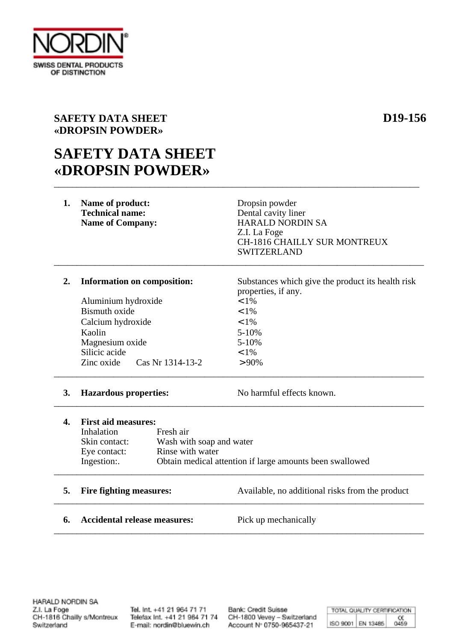

## **SAFETY DATA SHEET D19-156 «DROPSIN POWDER»**

## **SAFETY DATA SHEET «DROPSIN POWDER»** \_\_\_\_\_\_\_\_\_\_\_\_\_\_\_\_\_\_\_\_\_\_\_\_\_\_\_\_\_\_\_\_\_\_\_\_\_\_\_\_\_\_\_\_\_\_\_\_\_\_\_\_\_\_\_\_\_\_\_\_\_\_\_\_\_\_\_\_\_\_\_\_\_\_\_\_\_\_\_\_

| 1. | Name of product:<br><b>Technical name:</b><br><b>Name of Company:</b>                              | Dropsin powder<br>Dental cavity liner<br><b>HARALD NORDIN SA</b><br>Z.I. La Foge<br><b>CH-1816 CHAILLY SUR MONTREUX</b><br><b>SWITZERLAND</b> |
|----|----------------------------------------------------------------------------------------------------|-----------------------------------------------------------------------------------------------------------------------------------------------|
| 2. | Information on composition:                                                                        | Substances which give the product its health risk<br>properties, if any.                                                                      |
|    | Aluminium hydroxide                                                                                | $< 1\%$                                                                                                                                       |
|    | Bismuth oxide                                                                                      | $< 1\%$                                                                                                                                       |
|    | Calcium hydroxide                                                                                  | $< 1\%$                                                                                                                                       |
|    | Kaolin                                                                                             | $5 - 10%$                                                                                                                                     |
|    | Magnesium oxide                                                                                    | $5 - 10%$                                                                                                                                     |
|    | Silicic acide                                                                                      | $< 1\%$                                                                                                                                       |
|    | Cas Nr 1314-13-2<br>Zinc oxide                                                                     | $> 90\%$                                                                                                                                      |
| 3. | <b>Hazardous properties:</b>                                                                       | No harmful effects known.                                                                                                                     |
| 4. | <b>First aid measures:</b><br>Inhalation<br>Fresh air<br>Skin contact:<br>Wash with soan and water |                                                                                                                                               |

Skin contact: Wash with soap and water Eye contact: Rinse with water<br>Ingestion: Obtain medical at Obtain medical attention if large amounts been swallowed \_\_\_\_\_\_\_\_\_\_\_\_\_\_\_\_\_\_\_\_\_\_\_\_\_\_\_\_\_\_\_\_\_\_\_\_\_\_\_\_\_\_\_\_\_\_\_\_\_\_\_\_\_\_\_\_\_\_\_\_\_\_\_\_\_\_\_\_\_\_\_\_\_\_\_\_\_\_\_\_\_

\_\_\_\_\_\_\_\_\_\_\_\_\_\_\_\_\_\_\_\_\_\_\_\_\_\_\_\_\_\_\_\_\_\_\_\_\_\_\_\_\_\_\_\_\_\_\_\_\_\_\_\_\_\_\_\_\_\_\_\_\_\_\_\_\_\_\_\_\_\_\_\_\_\_\_\_\_\_\_\_\_

**5. Fire fighting measures:** Available, no additional risks from the product \_\_\_\_\_\_\_\_\_\_\_\_\_\_\_\_\_\_\_\_\_\_\_\_\_\_\_\_\_\_\_\_\_\_\_\_\_\_\_\_\_\_\_\_\_\_\_\_\_\_\_\_\_\_\_\_\_\_\_\_\_\_\_\_\_\_\_\_\_\_\_\_\_\_\_\_\_\_\_\_\_

**6. Accidental release measures:** Pick up mechanically

Tel. Int. +41 21 964 71 71 Telefax Int. +41 21 964 71 74 E-mail: nordin@bluewin.ch

Bank: Credit Suisse CH-1800 Vevey - Switzerland Account Nº 0750-965437-21